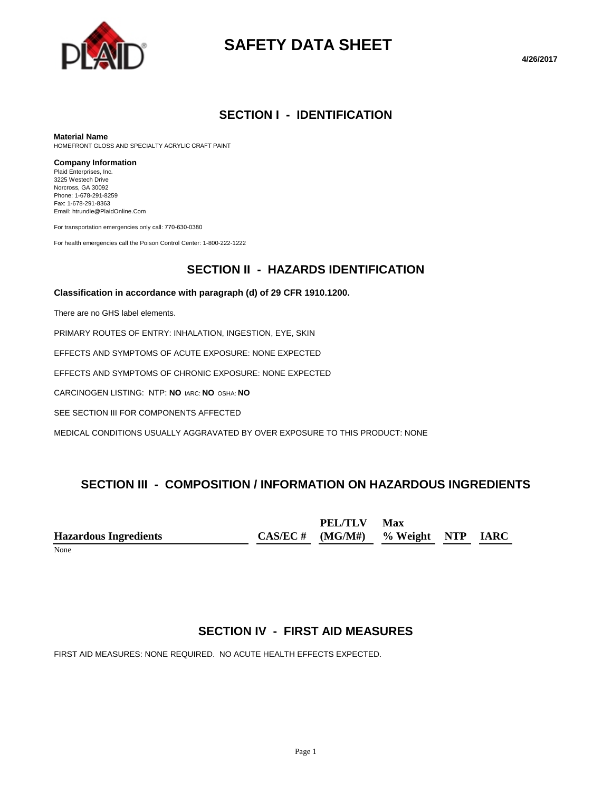

# **SAFETY DATA SHEET**

## **SECTION I - IDENTIFICATION**

#### **Material Name**

HOMEFRONT GLOSS AND SPECIALTY ACRYLIC CRAFT PAINT

#### **Company Information**

Plaid Enterprises, Inc. 3225 Westech Drive Norcross, GA 30092 Phone: 1-678-291-8259 Fax: 1-678-291-8363 Email: htrundle@PlaidOnline.Com

For transportation emergencies only call: 770-630-0380

For health emergencies call the Poison Control Center: 1-800-222-1222

## **SECTION II - HAZARDS IDENTIFICATION**

#### **Classification in accordance with paragraph (d) of 29 CFR 1910.1200.**

There are no GHS label elements.

PRIMARY ROUTES OF ENTRY: INHALATION, INGESTION, EYE, SKIN

EFFECTS AND SYMPTOMS OF ACUTE EXPOSURE: NONE EXPECTED

EFFECTS AND SYMPTOMS OF CHRONIC EXPOSURE: NONE EXPECTED

CARCINOGEN LISTING: NTP: **NO** IARC: **NO** OSHA: **NO**

SEE SECTION III FOR COMPONENTS AFFECTED

MEDICAL CONDITIONS USUALLY AGGRAVATED BY OVER EXPOSURE TO THIS PRODUCT: NONE

# **SECTION III - COMPOSITION / INFORMATION ON HAZARDOUS INGREDIENTS**

**Hazardous Ingredients CAS/EC # PEL/TLV (MG/M#) Max % Weight NTP IARC**

None

# **SECTION IV - FIRST AID MEASURES**

FIRST AID MEASURES: NONE REQUIRED. NO ACUTE HEALTH EFFECTS EXPECTED.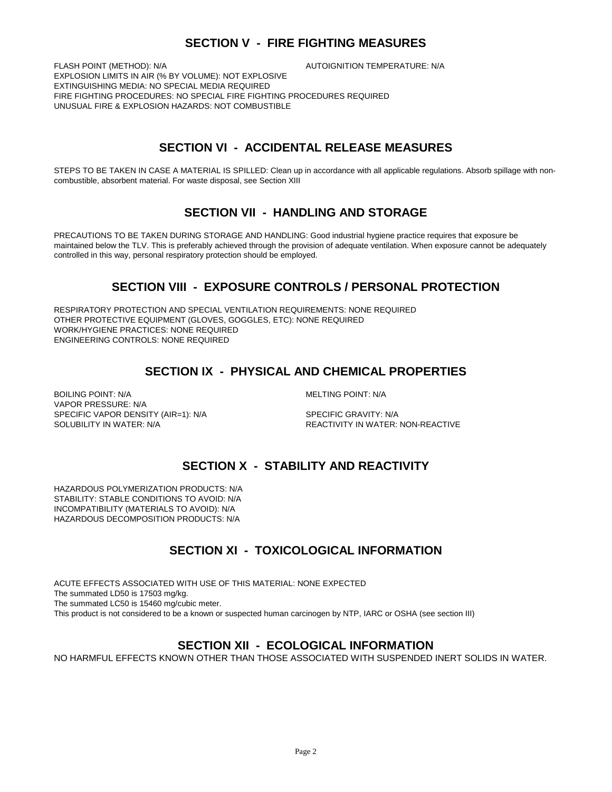# **SECTION V - FIRE FIGHTING MEASURES**

FLASH POINT (METHOD): N/A  $\overline{A}$  autoignition temperature: N/A

EXPLOSION LIMITS IN AIR (% BY VOLUME): NOT EXPLOSIVE EXTINGUISHING MEDIA: NO SPECIAL MEDIA REQUIRED FIRE FIGHTING PROCEDURES: NO SPECIAL FIRE FIGHTING PROCEDURES REQUIRED UNUSUAL FIRE & EXPLOSION HAZARDS: NOT COMBUSTIBLE

# **SECTION VI - ACCIDENTAL RELEASE MEASURES**

STEPS TO BE TAKEN IN CASE A MATERIAL IS SPILLED: Clean up in accordance with all applicable regulations. Absorb spillage with noncombustible, absorbent material. For waste disposal, see Section XIII

## **SECTION VII - HANDLING AND STORAGE**

PRECAUTIONS TO BE TAKEN DURING STORAGE AND HANDLING: Good industrial hygiene practice requires that exposure be maintained below the TLV. This is preferably achieved through the provision of adequate ventilation. When exposure cannot be adequately controlled in this way, personal respiratory protection should be employed.

# **SECTION VIII - EXPOSURE CONTROLS / PERSONAL PROTECTION**

RESPIRATORY PROTECTION AND SPECIAL VENTILATION REQUIREMENTS: NONE REQUIRED OTHER PROTECTIVE EQUIPMENT (GLOVES, GOGGLES, ETC): NONE REQUIRED WORK/HYGIENE PRACTICES: NONE REQUIRED ENGINEERING CONTROLS: NONE REQUIRED

# **SECTION IX - PHYSICAL AND CHEMICAL PROPERTIES**

BOILING POINT: N/A GENERAL MELTING POINT: N/A VAPOR PRESSURE: N/A SPECIFIC VAPOR DENSITY (AIR=1): N/A SPECIFIC GRAVITY: N/A SOLUBILITY IN WATER: N/A REACTIVITY IN WATER: NON-REACTIVE

# **SECTION X - STABILITY AND REACTIVITY**

HAZARDOUS POLYMERIZATION PRODUCTS: N/A STABILITY: STABLE CONDITIONS TO AVOID: N/A INCOMPATIBILITY (MATERIALS TO AVOID): N/A HAZARDOUS DECOMPOSITION PRODUCTS: N/A

# **SECTION XI - TOXICOLOGICAL INFORMATION**

ACUTE EFFECTS ASSOCIATED WITH USE OF THIS MATERIAL: NONE EXPECTED The summated LD50 is 17503 mg/kg. The summated LC50 is 15460 mg/cubic meter. This product is not considered to be a known or suspected human carcinogen by NTP, IARC or OSHA (see section III)

### **SECTION XII - ECOLOGICAL INFORMATION**

NO HARMFUL EFFECTS KNOWN OTHER THAN THOSE ASSOCIATED WITH SUSPENDED INERT SOLIDS IN WATER.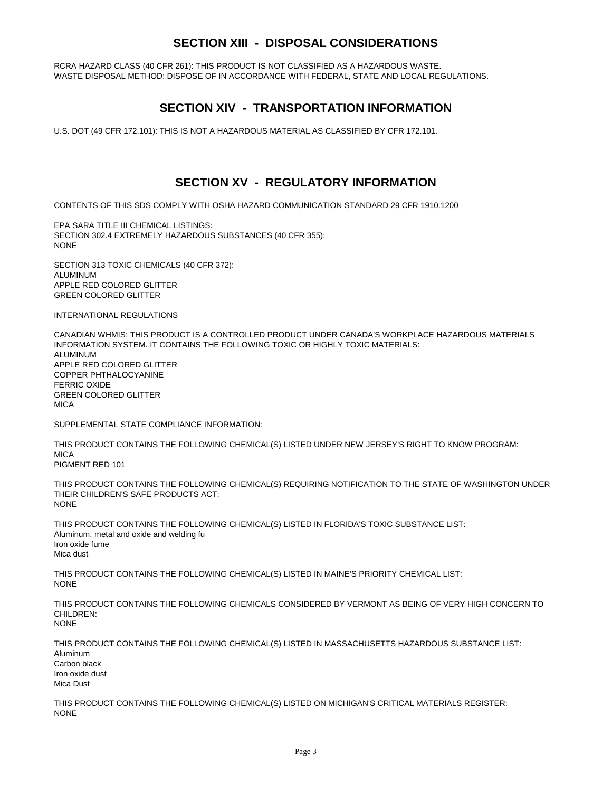# **SECTION XIII - DISPOSAL CONSIDERATIONS**

RCRA HAZARD CLASS (40 CFR 261): THIS PRODUCT IS NOT CLASSIFIED AS A HAZARDOUS WASTE. WASTE DISPOSAL METHOD: DISPOSE OF IN ACCORDANCE WITH FEDERAL, STATE AND LOCAL REGULATIONS.

### **SECTION XIV - TRANSPORTATION INFORMATION**

U.S. DOT (49 CFR 172.101): THIS IS NOT A HAZARDOUS MATERIAL AS CLASSIFIED BY CFR 172.101.

## **SECTION XV - REGULATORY INFORMATION**

CONTENTS OF THIS SDS COMPLY WITH OSHA HAZARD COMMUNICATION STANDARD 29 CFR 1910.1200

EPA SARA TITLE III CHEMICAL LISTINGS: SECTION 302.4 EXTREMELY HAZARDOUS SUBSTANCES (40 CFR 355): NONE

SECTION 313 TOXIC CHEMICALS (40 CFR 372): ALUMINUM APPLE RED COLORED GLITTER GREEN COLORED GLITTER

INTERNATIONAL REGULATIONS

CANADIAN WHMIS: THIS PRODUCT IS A CONTROLLED PRODUCT UNDER CANADA'S WORKPLACE HAZARDOUS MATERIALS INFORMATION SYSTEM. IT CONTAINS THE FOLLOWING TOXIC OR HIGHLY TOXIC MATERIALS: **ALUMINUM** APPLE RED COLORED GLITTER COPPER PHTHALOCYANINE FERRIC OXIDE GREEN COLORED GLITTER **MICA** 

SUPPLEMENTAL STATE COMPLIANCE INFORMATION:

THIS PRODUCT CONTAINS THE FOLLOWING CHEMICAL(S) LISTED UNDER NEW JERSEY'S RIGHT TO KNOW PROGRAM: **MICA** 

PIGMENT RED 101

THIS PRODUCT CONTAINS THE FOLLOWING CHEMICAL(S) REQUIRING NOTIFICATION TO THE STATE OF WASHINGTON UNDER THEIR CHILDREN'S SAFE PRODUCTS ACT: NONE

THIS PRODUCT CONTAINS THE FOLLOWING CHEMICAL(S) LISTED IN FLORIDA'S TOXIC SUBSTANCE LIST: Aluminum, metal and oxide and welding fu Iron oxide fume Mica dust

THIS PRODUCT CONTAINS THE FOLLOWING CHEMICAL(S) LISTED IN MAINE'S PRIORITY CHEMICAL LIST: **NONE** 

THIS PRODUCT CONTAINS THE FOLLOWING CHEMICALS CONSIDERED BY VERMONT AS BEING OF VERY HIGH CONCERN TO CHILDREN<sup>.</sup> NONE

THIS PRODUCT CONTAINS THE FOLLOWING CHEMICAL(S) LISTED IN MASSACHUSETTS HAZARDOUS SUBSTANCE LIST: Aluminum Carbon black Iron oxide dust Mica Dust

THIS PRODUCT CONTAINS THE FOLLOWING CHEMICAL(S) LISTED ON MICHIGAN'S CRITICAL MATERIALS REGISTER: NONE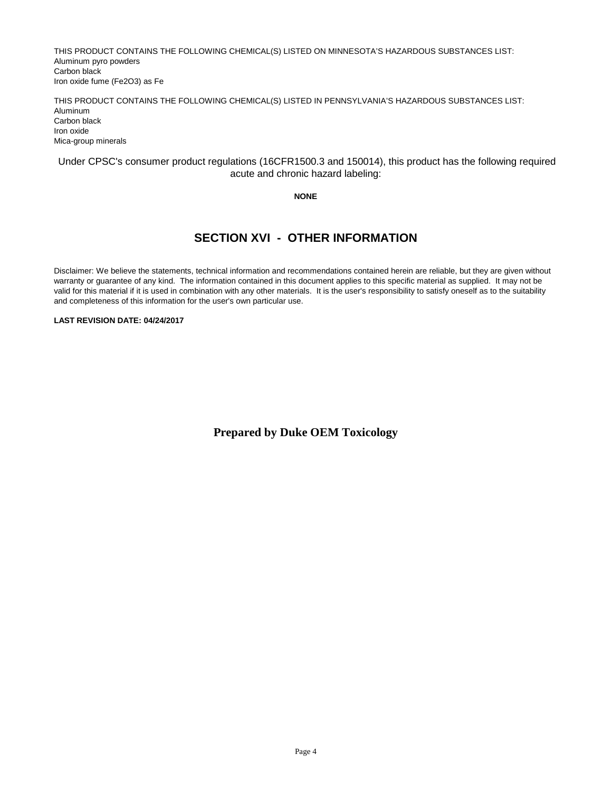THIS PRODUCT CONTAINS THE FOLLOWING CHEMICAL(S) LISTED ON MINNESOTA'S HAZARDOUS SUBSTANCES LIST: Aluminum pyro powders Carbon black Iron oxide fume (Fe2O3) as Fe

THIS PRODUCT CONTAINS THE FOLLOWING CHEMICAL(S) LISTED IN PENNSYLVANIA'S HAZARDOUS SUBSTANCES LIST: Aluminum Carbon black Iron oxide Mica-group minerals

#### Under CPSC's consumer product regulations (16CFR1500.3 and 150014), this product has the following required acute and chronic hazard labeling:

#### **NONE**

# **SECTION XVI - OTHER INFORMATION**

Disclaimer: We believe the statements, technical information and recommendations contained herein are reliable, but they are given without warranty or guarantee of any kind. The information contained in this document applies to this specific material as supplied. It may not be valid for this material if it is used in combination with any other materials. It is the user's responsibility to satisfy oneself as to the suitability and completeness of this information for the user's own particular use.

#### **LAST REVISION DATE: 04/24/2017**

**Prepared by Duke OEM Toxicology**